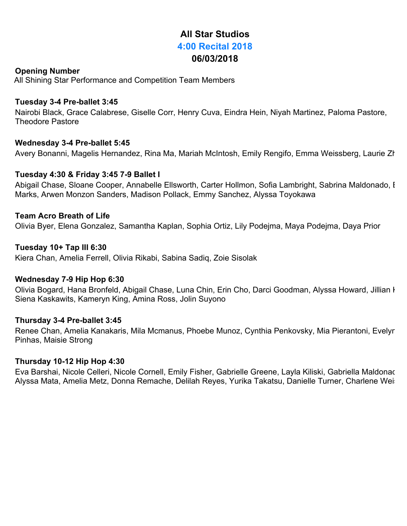# **All Star Studios 4:00 Recital 2018 06/03/2018**

# **Opening Number**

All Shining Star Performance and Competition Team Members

## **Tuesday 3-4 Pre-ballet 3:45**

Nairobi Black, Grace Calabrese, Giselle Corr, Henry Cuva, Eindra Hein, Niyah Martinez, Paloma Pastore, Theodore Pastore

## **Wednesday 3-4 Pre-ballet 5:45**

Avery Bonanni, Magelis Hernandez, Rina Ma, Mariah McIntosh, Emily Rengifo, Emma Weissberg, Laurie Zh

## **Tuesday 4:30 & Friday 3:45 7-9 Ballet I**

Abigail Chase, Sloane Cooper, Annabelle Ellsworth, Carter Hollmon, Sofia Lambright, Sabrina Maldonado, I Marks, Arwen Monzon Sanders, Madison Pollack, Emmy Sanchez, Alyssa Toyokawa

## **Team Acro Breath of Life**

Olivia Byer, Elena Gonzalez, Samantha Kaplan, Sophia Ortiz, Lily Podejma, Maya Podejma, Daya Prior

## **Tuesday 10+ Tap III 6:30**

Kiera Chan, Amelia Ferrell, Olivia Rikabi, Sabina Sadiq, Zoie Sisolak

## **Wednesday 7-9 Hip Hop 6:30**

Olivia Bogard, Hana Bronfeld, Abigail Chase, Luna Chin, Erin Cho, Darci Goodman, Alyssa Howard, Jillian I Siena Kaskawits, Kameryn King, Amina Ross, Jolin Suyono

## **Thursday 3-4 Pre-ballet 3:45**

Renee Chan, Amelia Kanakaris, Mila Mcmanus, Phoebe Munoz, Cynthia Penkovsky, Mia Pierantoni, Evelyn Pinhas, Maisie Strong

## **Thursday 10-12 Hip Hop 4:30**

Eva Barshai, Nicole Celleri, Nicole Cornell, Emily Fisher, Gabrielle Greene, Layla Kiliski, Gabriella Maldonac Alyssa Mata, Amelia Metz, Donna Remache, Delilah Reyes, Yurika Takatsu, Danielle Turner, Charlene Weis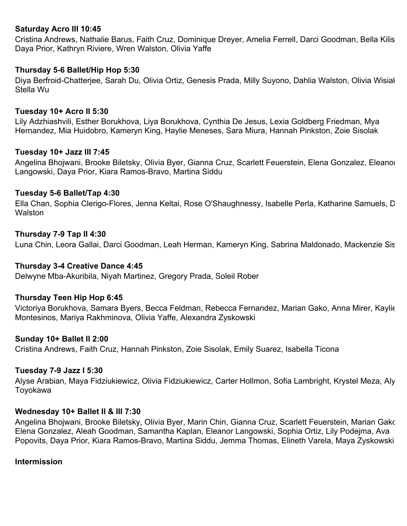# **Saturday Acro III 10:45**

Cristina Andrews, Nathalie Barus, Faith Cruz, Dominique Dreyer, Amelia Ferrell, Darci Goodman, Bella Kiliski, Daya Prior, Kathryn Riviere, Wren Walston, Olivia Yaffe

## **Thursday 5-6 Ballet/Hip Hop 5:30**

Diya Berfroid-Chatterjee, Sarah Du, Olivia Ortiz, Genesis Prada, Milly Suyono, Dahlia Walston, Olivia Wisiak, Stella Wu

## **Tuesday 10+ Acro II 5:30**

Lily Adzhiashvili, Esther Borukhova, Liya Borukhova, Cynthia De Jesus, Lexia Goldberg Friedman, Mya Hernandez, Mia Huidobro, Kameryn King, Haylie Meneses, Sara Miura, Hannah Pinkston, Zoie Sisolak

## **Tuesday 10+ Jazz III 7:45**

Angelina Bhojwani, Brooke Biletsky, Olivia Byer, Gianna Cruz, Scarlett Feuerstein, Elena Gonzalez, Eleanor Langowski, Daya Prior, Kiara Ramos-Bravo, Martina Siddu

#### **Tuesday 5-6 Ballet/Tap 4:30**

Ella Chan, Sophia Clerigo-Flores, Jenna Keltai, Rose O'Shaughnessy, Isabelle Perla, Katharine Samuels, D **Walston** 

#### **Thursday 7-9 Tap II 4:30**

Luna Chin, Leora Gallai, Darci Goodman, Leah Herman, Kameryn King, Sabrina Maldonado, Mackenzie Sis

## **Thursday 3-4 Creative Dance 4:45**

Delwyne Mba-Akuribila, Niyah Martinez, Gregory Prada, Soleil Rober

## **Thursday Teen Hip Hop 6:45**

Victoriya Borukhova, Samara Byers, Becca Feldman, Rebecca Fernandez, Marian Gako, Anna Mirer, Kaylie Montesinos, Mariya Rakhminova, Olivia Yaffe, Alexandra Zyskowski

## **Sunday 10+ Ballet II 2:00**

Cristina Andrews, Faith Cruz, Hannah Pinkston, Zoie Sisolak, Emily Suarez, Isabella Ticona

## **Tuesday 7-9 Jazz I 5:30**

Alyse Arabian, Maya Fidziukiewicz, Olivia Fidziukiewicz, Carter Hollmon, Sofia Lambright, Krystel Meza, Aly Toyokawa

#### **Wednesday 10+ Ballet II & III 7:30**

Angelina Bhojwani, Brooke Biletsky, Olivia Byer, Marin Chin, Gianna Cruz, Scarlett Feuerstein, Marian Gako, Elena Gonzalez, Aleah Goodman, Samantha Kaplan, Eleanor Langowski, Sophia Ortiz, Lily Podejma, Ava Popovits, Daya Prior, Kiara Ramos-Bravo, Martina Siddu, Jemma Thomas, Elineth Varela, Maya Zyskowski

#### **Intermission**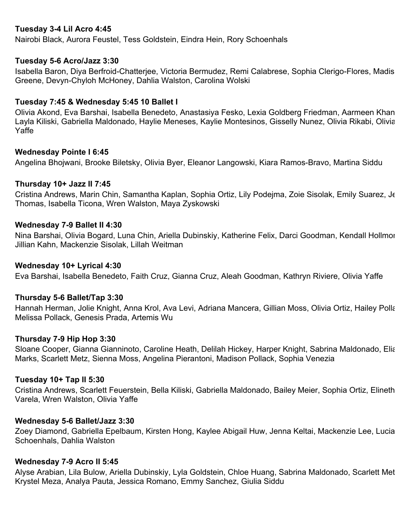# **Tuesday 3-4 Lil Acro 4:45**

Nairobi Black, Aurora Feustel, Tess Goldstein, Eindra Hein, Rory Schoenhals

#### **Tuesday 5-6 Acro/Jazz 3:30**

Isabella Baron, Diya Berfroid-Chatterjee, Victoria Bermudez, Remi Calabrese, Sophia Clerigo-Flores, Madis Greene, Devyn-Chyloh McHoney, Dahlia Walston, Carolina Wolski

## **Tuesday 7:45 & Wednesday 5:45 10 Ballet I**

Olivia Akond, Eva Barshai, Isabella Benedeto, Anastasiya Fesko, Lexia Goldberg Friedman, Aarmeen Khan, Layla Kiliski, Gabriella Maldonado, Haylie Meneses, Kaylie Montesinos, Gisselly Nunez, Olivia Rikabi, Olivia Yaffe

#### **Wednesday Pointe I 6:45**

Angelina Bhojwani, Brooke Biletsky, Olivia Byer, Eleanor Langowski, Kiara Ramos-Bravo, Martina Siddu

#### **Thursday 10+ Jazz II 7:45**

Cristina Andrews, Marin Chin, Samantha Kaplan, Sophia Ortiz, Lily Podejma, Zoie Sisolak, Emily Suarez, Je Thomas, Isabella Ticona, Wren Walston, Maya Zyskowski

#### **Wednesday 7-9 Ballet II 4:30**

Nina Barshai, Olivia Bogard, Luna Chin, Ariella Dubinskiy, Katherine Felix, Darci Goodman, Kendall Hollmon, Jillian Kahn, Mackenzie Sisolak, Lillah Weitman

## **Wednesday 10+ Lyrical 4:30**

Eva Barshai, Isabella Benedeto, Faith Cruz, Gianna Cruz, Aleah Goodman, Kathryn Riviere, Olivia Yaffe

## **Thursday 5-6 Ballet/Tap 3:30**

Hannah Herman, Jolie Knight, Anna Krol, Ava Levi, Adriana Mancera, Gillian Moss, Olivia Ortiz, Hailey Polla Melissa Pollack, Genesis Prada, Artemis Wu

#### **Thursday 7-9 Hip Hop 3:30**

Sloane Cooper, Gianna Gianninoto, Caroline Heath, Delilah Hickey, Harper Knight, Sabrina Maldonado, Eliana Marks, Scarlett Metz, Sienna Moss, Angelina Pierantoni, Madison Pollack, Sophia Venezia

#### **Tuesday 10+ Tap II 5:30**

Cristina Andrews, Scarlett Feuerstein, Bella Kiliski, Gabriella Maldonado, Bailey Meier, Sophia Ortiz, Elineth Varela, Wren Walston, Olivia Yaffe

#### **Wednesday 5-6 Ballet/Jazz 3:30**

Zoey Diamond, Gabriella Epelbaum, Kirsten Hong, Kaylee Abigail Huw, Jenna Keltai, Mackenzie Lee, Lucia Schoenhals, Dahlia Walston

#### **Wednesday 7-9 Acro II 5:45**

Alyse Arabian, Lila Bulow, Ariella Dubinskiy, Lyla Goldstein, Chloe Huang, Sabrina Maldonado, Scarlett Metz, Krystel Meza, Analya Pauta, Jessica Romano, Emmy Sanchez, Giulia Siddu